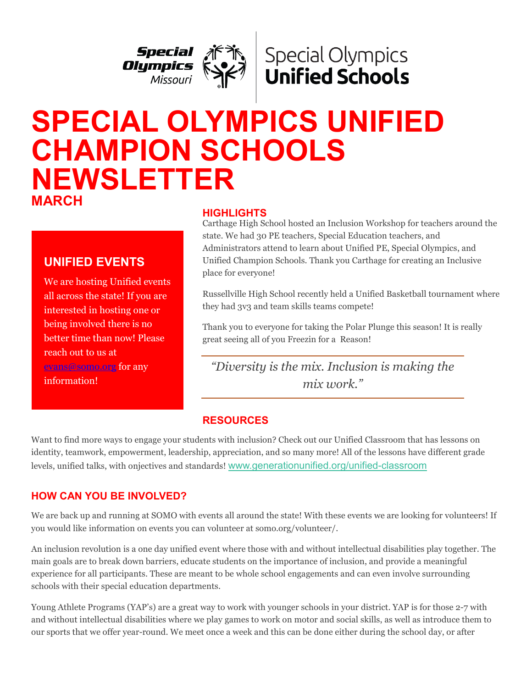



# **SPECIAL OLYMPICS UNIFIED CHAMPION SCHOOLS NEWSLETTER MARCH**

We are hosting Unified events all across the state! If you are interested in hosting one or being involved there is no better time than now! Please reach out to us at [evans@somo.org](mailto:evans@somo.org) for any

**UNIFIED EVENTS**

information!

#### **HIGHLIGHTS**

Carthage High School hosted an Inclusion Workshop for teachers around the state. We had 30 PE teachers, Special Education teachers, and Administrators attend to learn about Unified PE, Special Olympics, and Unified Champion Schools. Thank you Carthage for creating an Inclusive place for everyone!

Russellville High School recently held a Unified Basketball tournament where they had 3v3 and team skills teams compete!

Thank you to everyone for taking the Polar Plunge this season! It is really great seeing all of you Freezin for a Reason!

*"Diversity is the mix. Inclusion is making the mix work."*

### **RESOURCES**

Want to find more ways to engage your students with inclusion? Check out our Unified Classroom that has lessons on identity, teamwork, empowerment, leadership, appreciation, and so many more! All of the lessons have different grade levels, unified talks, with onjectives and standards! [www.generationunified.org/unified-classroom](https://cn5pf04.na1.hubspotlinks.com/Btc/W1+113/cN5pF04/VXcC-v8-1JMhW7rV4TM2Y1j9CW7RdXLG4B40BXN7swVw73lSbNV1-WJV7CgZtJW8BqgX8439vDSW2pLj7y8vk-yXN437VpCsv6sfW5GRxrM16ZRk7W3qHCZ54-MNVtW7BJKSZ3DbrjnW7bLHy52Xj6szW1stV5Q6nbBp-W2pYM_w2fBV-rW12_TRK6gzL15N5cz8jK_sSPDW8j96sj5l28jWW4jG0k-70X2RRW8-L5y63kdb1SW2Lr4qC8THN-QW12NP8j55CVQ0W3dtD9T5MxszDW2h3zSz6Mvj8BW36yDCH4QcPxMW21Wg0Y7ShckjN2tmsjrmtWplW5jLNTz8pLd8z3bZw1)

# **HOW CAN YOU BE INVOLVED?**

We are back up and running at SOMO with events all around the state! With these events we are looking for volunteers! If you would like information on events you can volunteer at somo.org/volunteer/.

An inclusion revolution is a one day unified event where those with and without intellectual disabilities play together. The main goals are to break down barriers, educate students on the importance of inclusion, and provide a meaningful experience for all participants. These are meant to be whole school engagements and can even involve surrounding schools with their special education departments.

Young Athlete Programs (YAP's) are a great way to work with younger schools in your district. YAP is for those 2-7 with and without intellectual disabilities where we play games to work on motor and social skills, as well as introduce them to our sports that we offer year-round. We meet once a week and this can be done either during the school day, or after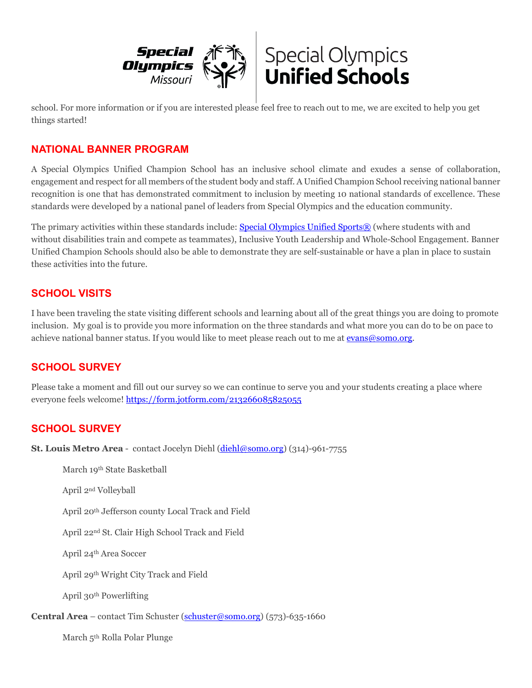



school. For more information or if you are interested please feel free to reach out to me, we are excited to help you get things started!

#### **NATIONAL BANNER PROGRAM**

A Special Olympics Unified Champion School has an inclusive school climate and exudes a sense of collaboration, engagement and respect for all members of the student body and staff. A Unified Champion School receiving national banner recognition is one that has demonstrated commitment to inclusion by meeting 10 national standards of excellence. These standards were developed by a national panel of leaders from Special Olympics and the education community.

The primary activities within these standards include: [Special Olympics Unified Sports®](https://www.specialolympics.org/our-work/sports/unified-sports) (where students with and without disabilities train and compete as teammates), Inclusive Youth Leadership and Whole-School Engagement. Banner Unified Champion Schools should also be able to demonstrate they are self-sustainable or have a plan in place to sustain these activities into the future.

#### **SCHOOL VISITS**

I have been traveling the state visiting different schools and learning about all of the great things you are doing to promote inclusion. My goal is to provide you more information on the three standards and what more you can do to be on pace to achieve national banner status. If you would like to meet please reach out to me at [evans@somo.org.](mailto:evans@somo.org)

### **SCHOOL SURVEY**

Please take a moment and fill out our survey so we can continue to serve you and your students creating a place where everyone feels welcome!<https://form.jotform.com/213266085825055>

### **SCHOOL SURVEY**

**St. Louis Metro Area** - contact Jocelyn Diehl [\(diehl@somo.org\)](mailto:diehl@somo.org) (314)-961-7755

March 19th State Basketball

April 2nd Volleyball

April 20th Jefferson county Local Track and Field

April 22nd St. Clair High School Track and Field

April 24th Area Soccer

April 29th Wright City Track and Field

April 30th Powerlifting

**Central Area** – contact Tim Schuster [\(schuster@somo.org\)](mailto:schuster@somo.org) (573)-635-1660

March 5th Rolla Polar Plunge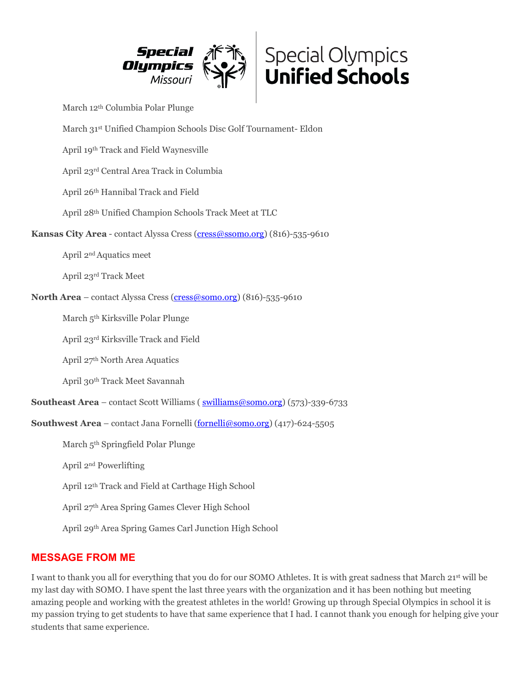



March 12th Columbia Polar Plunge

March 31st Unified Champion Schools Disc Golf Tournament- Eldon

April 19th Track and Field Waynesville

April 23rd Central Area Track in Columbia

April 26th Hannibal Track and Field

April 28th Unified Champion Schools Track Meet at TLC

Kansas City Area - contact Alyssa Cress [\(cress@ssomo.org\)](mailto:cress@ssomo.org) (816)-535-9610

April 2nd Aquatics meet

April 23rd Track Meet

**North Area** – contact Alyssa Cress [\(cress@somo.org\)](mailto:cress@somo.org) (816)-535-9610

March 5th Kirksville Polar Plunge

April 23rd Kirksville Track and Field

April 27th North Area Aquatics

April 30th Track Meet Savannah

**Southeast Area** – contact Scott Williams ( swilliams @somo.org) (573)-339-6733

**Southwest Area** – contact Jana Fornelli [\(fornelli@somo.org\)](mailto:fornelli@somo.org) (417)-624-5505

March 5th Springfield Polar Plunge

April 2nd Powerlifting

April 12th Track and Field at Carthage High School

April 27th Area Spring Games Clever High School

April 29th Area Spring Games Carl Junction High School

#### **MESSAGE FROM ME**

I want to thank you all for everything that you do for our SOMO Athletes. It is with great sadness that March 21st will be my last day with SOMO. I have spent the last three years with the organization and it has been nothing but meeting amazing people and working with the greatest athletes in the world! Growing up through Special Olympics in school it is my passion trying to get students to have that same experience that I had. I cannot thank you enough for helping give your students that same experience.